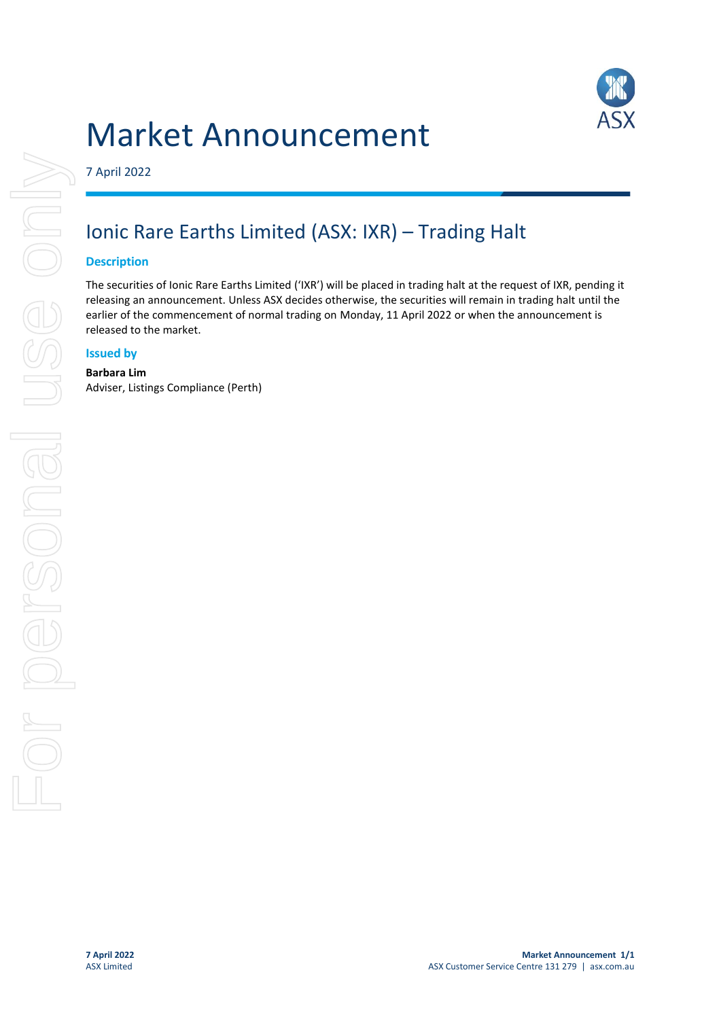# Market Announcement



7 April 2022

## Ionic Rare Earths Limited (ASX: IXR) – Trading Halt

#### **Description**

The securities of Ionic Rare Earths Limited ('IXR') will be placed in trading halt at the request of IXR, pending it releasing an announcement. Unless ASX decides otherwise, the securities will remain in trading halt until the earlier of the commencement of normal trading on Monday, 11 April 2022 or when the announcement is released to the market.

#### **Issued by**

### **Barbara Lim**

Adviser, Listings Compliance (Perth)